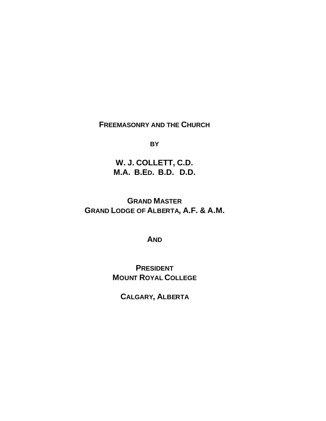## **FREEMASONRY AND THE CHURCH**

**BY**

**W. J. COLLETT, C.D. M.A. B.ED. B.D. D.D.**

**GRAND MASTER GRAND LODGE OF ALBERTA, A.F. & A.M.**

**AND**

**PRESIDENT MOUNT ROYAL COLLEGE**

**CALGARY, ALBERTA**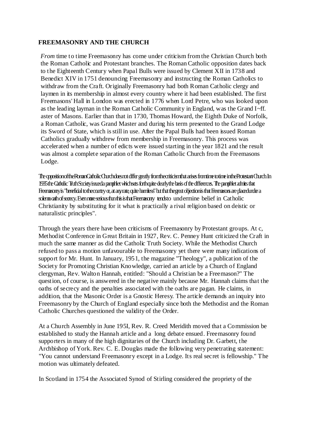## **FREEMASONRY AND THE CHURCH**

*From* time to time Freemasonry has come under criticism from the Christian Church both the Roman Catholic and Protestant branches. The Roman Catholic opposition dates back to the Eighteenth Century when Papal Bulls were issued by Clement XII in 1738 and Benedict XIV in 1751 denouncing Freemasonry and instructing the Roman Catholics to withdraw from the Craft. Originally Freemasonry had both Roman Catholic clergy and laymen in its membership in almost every country where it had been established. The first Freemasons' Hall in London was erected in 1776 when Lord Petre, who was looked upon as the leading layman in the Roman Catholic Community in England, was the Grand I~ff. aster of Masons. Earlier than that in 1730, Thomas Howard, the Eighth Duke of Norfolk, a Roman Catholic, was Grand Master and during his term presented to the Grand Lodge its Sword of State, which is still in use. After the Papal Bulls had been issued Roman Catholics gradually withdrew from membership in Freemasonry. This process was accelerated when a number of edicts were issued starting in the year 1821 and the result was almost a complete separation of the Roman Catholic Church from the Freemasons Lodge.

The opposition of the Roman Catholic Church does not differ greatly from the criticism that arises from time to time in the Protestant Church. In 1935 the Catholic Truth Society issued a pamphlet which sets forth quite dearly the basis of the differences. The pamphlet admits that Freemasony is "beneficial to the country or, at any rate, quite hambess" but that the great objection is that Freemasons are placed under a solenn oath of searcy. Even more serious than this is that Freemasony tends to undermine belief in Catholic Christianity by substituting for it what is practically a rival religion based on deistic or naturalistic principles".

Through the years there have been criticisms of Freemasonry by Protestant groups. At c, Methodist Conference in Great Britain in 1927, Rev. C. Penney Hunt criticized the Craft in much the same manner as did the Catholic Truth Society. While the Methodist Church refused to pass a motion unfavourable to Freemasonry yet there were many indications of support for Mr. Hunt. In January, 1951, the magazine "Theology", a publication of the Society for Promoting Christian Knowledge, carried an article by a Church of England clergyman, Rev. Walton Hannah, entitled: "Should a Christian be a Freemason?" The question, of course, is answered in the negative mainly because Mr. Hannah claims that the oaths of secrecy and the penalties associated with the oaths are pagan. He claims, in addition, that the Masonic Order is a Gnostic Heresy. The article demands an inquiry into Freemasonry by the Church of England especially since both the Methodist and the Roman Catholic Churches questioned the validity of the Order.

At a Church Assembly in June 195I, Rev. R. Creed Meridith moved that a Commission be established to study the Hannah article and a long debate ensued. Freemasonry found supporters in many of the high dignitaries of the Church including Dr. Garbett, the Archbishop of York. Rev. C. E. Douglas made the following very penetrating statement: "You cannot understand Freemasonry except in a Lodge. Its real secret is fellowship." The motion was ultimately defeated.

In Scotland in 1754 the Associated Synod of Stirling considered the propriety of the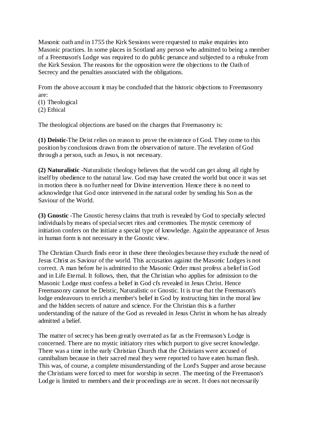Masonic oath and in 1755 the Kirk Sessions were requested to make enquiries into Masonic practices. In some places in Scotland any person who admitted to being a member of a Freemason's Lodge was required to do public penance and subjected to a rebuke from the Kirk Session. The reasons for the opposition were the objections to the Oath of Secrecy and the penalties associated with the obligations.

From the above account it may be concluded that the historic objections to Freemasonry are:

- (1) Theological
- (2) Ethical

The theological objections are based on the charges that Freemasonry is:

**(1) Deistic**-The Deist relies on reason to prove the existence of God. They come to this position by conclusions drawn from the observation of nature. The revelation of God through a person, such as Jesus, is not necessary.

**(2) Naturalistic** -Naturalistic theology believes that the world can get along all right by itself by obedience to the natural law. God may have created the world but once it was set in motion there is no further need for Divine intervention. Hence there is no need to acknowledge that God once intervened in the natural order by sending his Son as the Saviour of the World.

**(3) Gnostic** -The Gnostic heresy claims that truth is revealed by God to specially selected individuals by means of special secret rites and ceremonies. The mystic ceremony of initiation confers on the initiate a special type of knowledge. Again the appearance of Jesus in human form is not necessary in the Gnostic view.

The Christian Church finds error in these three theologies because they exclude the need of Jesus Christ as Saviour of the world. This accusation against the Masonic Lodges is not correct. A man before he is admitted to the Masonic Order must profess a belief in God and in Life Eternal. It follows, then, that the Christian who applies for admission to the Masonic Lodge must confess a belief in God cfs revealed in Jesus Christ. Hence Freemasonry cannot be Deistic, Naturalistic or Gnostic. It is true that the Freemason's lodge endeavours to enrich a member's belief in God by instructing him in the moral law and the hidden secrets of nature and science. For the Christian this is a further understanding of the nature of the God as revealed in Jesus Christ in whom he has already admitted a belief.

The matter of secrecy has been greatly overrated as far as the Freemason's Lodge is concerned. There are no mystic initiatory rites which purport to give secret knowledge. There was a time in the early Christian Church that the Christians were accused of cannibalism because in their sacred meal they were reported to have eaten human flesh. This was, of course, a complete misunderstanding of the Lord's Supper and arose because the Christians were forced to meet for worship in secret. The meeting of the Freemason's Lodge is limited to members and their proceedings are in secret. It does not necessarily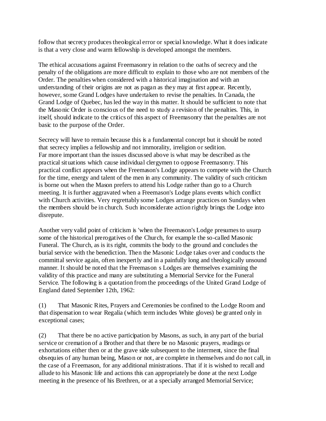follow that secrecy produces theological error or special knowledge. What it does indicate is that a very close and warm fellowship is developed amongst the members.

The ethical accusations against Freemasonry in relation to the oaths of secrecy and the penalty of the obligations are more difficult to explain to those who are not members of the Order. The penalties when considered with a historical imagination and with an understanding of their origins are not as pagan as they may at first appear. Recently, however, some Grand Lodges have undertaken to revise the penalties. In Canada, the Grand Lodge of Quebec, has led the way in this matter. It should be sufficient to note that the Masonic Order is conscious of the need to study a revision of the penalties. This, in itself, should indicate to the critics of this aspect of Freemasonry that the penalties are not basic to the purpose of the Order.

Secrecy will have to remain because this is a fundamental concept but it should be noted that secrecy implies a fellowship and not immorality, irreligion or sedition. Far more important than the issues discussed above is what may be described as the practical situations which cause individual clergymen to oppose Freemasonry. This practical conflict appears when the Freemason's Lodge appears to compete with the Church for the time, energy and talent of the men in any community. The validity of such criticism is borne out when the Mason prefers to attend his Lodge rather than go to a Church meeting. It is further aggravated when a Freemason's Lodge plans events which conflict with Church activities. Very regrettably some Lodges arrange practices on Sundays when the members should be in church. Such inconsiderate action rightly brings the Lodge into disrepute.

Another very valid point of criticism is 'when the Freemason's Lodge presumes to usurp some of the historical prerogatives of the Church, for example the so-called Masonic Funeral. The Church, as is its right, commits the body to the ground and concludes the burial service with the benediction. Then the Masonic Lodge takes over and conducts the committal service again, often inexpertly and in a painfully long and theologically unsound manner. It should be noted that the Freemason s Lodges are themselves examining the validity of this practice and many are substituting a Memorial Service for the Funeral Service. The following is a quotation from the proceedings of the United Grand Lodge of England dated September 12th, 1962:

(1) That Masonic Rites, Prayers and Ceremonies be confined to the Lodge Room and that dispensation to wear Regalia (which term includes White gloves) be granted only in exceptional cases;

(2) That there be no active participation by Masons, as such, in any part of the burial service or cremation of a Brother and that there be no Masonic prayers, readings or exhortations either then or at the grave side subsequent to the interment, since the final obsequies of any human being, Mason or not, are complete in themselves and do not call, in the case of a Freemason, for any additional ministrations. That if it is wished to recall and allude to his Masonic life and actions this can appropriately be done at the next Lodge meeting in the presence of his Brethren, or at a specially arranged Memorial Service;